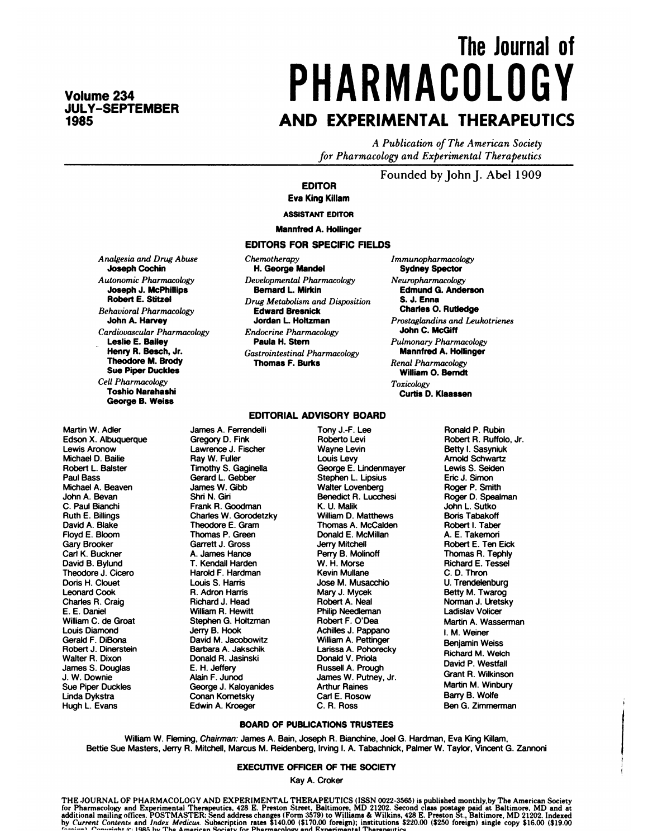**Volume 234 JULY-SEPTEMBER 1985**

# **The Journal of PHARMACOLOGY AND EXPERIMENTAL THERAPEUTICS**

*A Publication of The American Society for Pharmacology and Experimental Therapeutics*

#### Founded by John J. Abel <sup>1909</sup>

#### **EDITOR Eva King KiIIam**

**ASSISTANT EDITOR**

**Mannfred A. Hollinger**

#### **EDITORS FOR SPECIFIC** FIELDS

*Analgesia* and *Drug Abuse* Joseph **Cochin** *Autonomic Pharmacology* **Joseph J. McPhillips** Robert E. Stitzel *Behavioral Pharmacology* **John A. Harvey** *Cardiovascular Pharmacology* **Leslie E.** Bailey Henry R. Besch, **Jr.** Theodore **M. Brody Sue Piper Duckles** *Cell Pharmacology* **Toshio Narahashi** George B. **Weiss**

*Chemotherapy* H. George **Mandel** *Developmental Pharmacology* Bernard L. Mirkin  $Drug Metabolism$  *and Disposition* Edward Bresnick Jordan L. Holtzman *Endocrine Pharmacology* **Paula H. Stem** *Gastrointestinal Pharmacology* **Thomas F.**Burks

**EDITORIAL ADVISORY BOARD**

*Immunopharmacology* **Sydney** Spector *Neuropharmacology* **Edmund G.** Anderson **S. J. Enna Charles 0. Rutledge** *Prostaglandins and Leukotrienes* John C. McGiff *Pulmonary Pharmacology* Mannfred A. Hollinger *Renal Pharmacology* **William 0.** Bemdt *Toxicology* **Curtis D. Klaassen**

#### Martin W. Adler Edson X. Albuquerque **Lewis** Aronow Michael D. Bailie Robert L. Baister Paul Bass Michael A. Beaven John A. Bevan C. Paul Bianchi Ruth E. Billings David A. Blake Floyd E. Bloom Gary Brooker Carl K. Buckner David B. Bylund Theodore J. Cicero Doris H. Clouet Leonard Cook Charles R. Craig E. E. Daniel William C. de Groat Louis Diamond Gerald F. DiBona Robert J. Dinerstein Walter A. Dixon James S. Douglas J. W. Downie

Sue Piper Duckles Linda Dykstra **Hugh L.** Evans

### Gregory D. Fink Lawrence J. Fischer Ray W. Fuller Timothy S. Gaginella Gerard L. Gebber James W. Gibb

Shri N. Giri Frank A. Goodman Charles W. Gorodetzky Theodore E. Gram Thomas P. Green Garrett J. Gross A. James Hance T. Kendall Harden Harold F. Hardman Louis S. Harris R. Adron Harris Richard J. Head William A. Hewitt Stephen G. Holtzman Jerry B. Hook David M. Jacobowitz Barbara A. Jakschik Donald A. Jasinski E. H. Jeffery Alain F. Junod George J. Kaloyanides Conan Kometsky Edwin A. Kroeger

James A. Ferrendelli

Tony J.-F. Lee Roberto Levi Wayne Levin Louis Levy George E. Undenmayer Stephen L. Lipsius Walter Lovenberg Benedict *A.* Lucchesi **K. U.** Malik William D. Matthews Thomas A. McCalden Donald E. McMillan Jerry Mitchell Perry B. Molinoff W. H. Morse Kevin Mullane Jose M. Musacchio Mary J. Mycek Robert A. Neal Philip Needleman Robert F. O'Dea Achilles J. Pappano William A. Pettinger Larissa A. Pohorecky Donald V. Priola Russell A. Prough James W. Putney, Jr. Arthur Raines Carl E. Rosow C. A. Ross

Ronald P. Rubin Robert A. Ruffolo, Jr. **Betty** I. Sasyniuk Arnold Schwartz **Lewis** S. Seiden EriCJ. Simon Roger P. Smith Roger D. Spealman John L. Sutko Boris Tabakoff Robert I. Taber A. E. Takemon Robert E. Ten Eick Thomas A. Tephly Richard E. Tessel C. D. Thron U. Trendelenburg Betty M. Twarog Norman J. Uretsky Ladislav Volicer Martin A. Wasserman I. M. Weiner Benjamin Weiss Richard M. Welch David P. Westfall Grant A. Wilkinson Martin M. Winbury Barry B.Wolfe Ben G. Zimmerman

#### BOARD OF PUBLICATIONS TRUSTEES

William W. Fleming, **Chairman:** James A. Bain, Joseph **A.** Bianchine, Joel G. Hardman, Eva King Killam, Bettie Sue Masters, Jerry A. Mitchell, Marcus M. Reidenberg, Irving I. A. Tabachnick, Palmer W. Taylor, Vincent G. Zannoni

#### **EXECUTiVE OFFICER OF ThE** SOCIETY

Kay A. Croker

THE JOURNAL OF PHARMACOLOGY AND EXPERIMENTAL THERAPEUTICS (ISSN 0022-3565) is published monthly.by The American Society<br>for Pharmacology and Experimental Therapeutics, 428 E. Preston Street, Baltimore, MD 21202. Second cla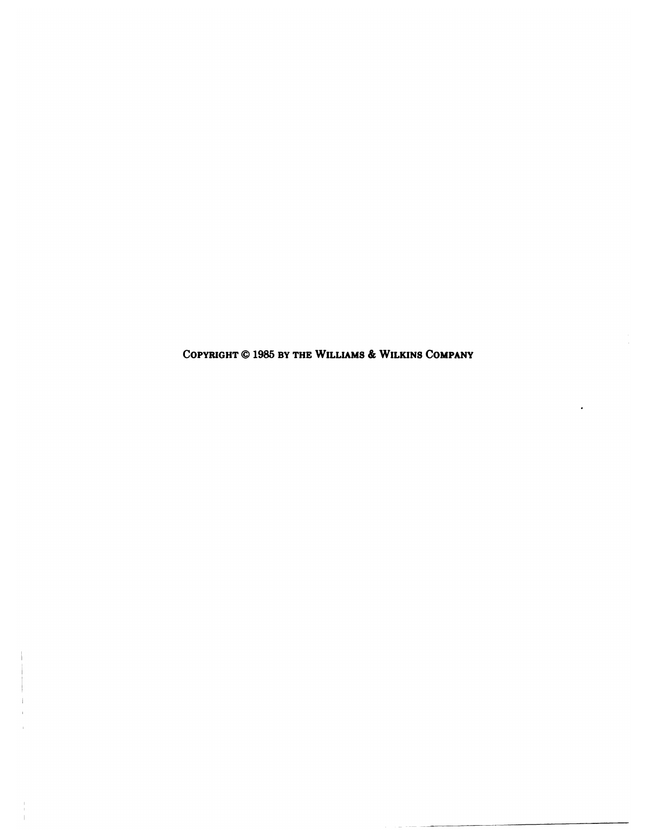**COPYRIGHT** *©* **1985BY THE WILLIAMS** *&* **WILIUNS COMPANY**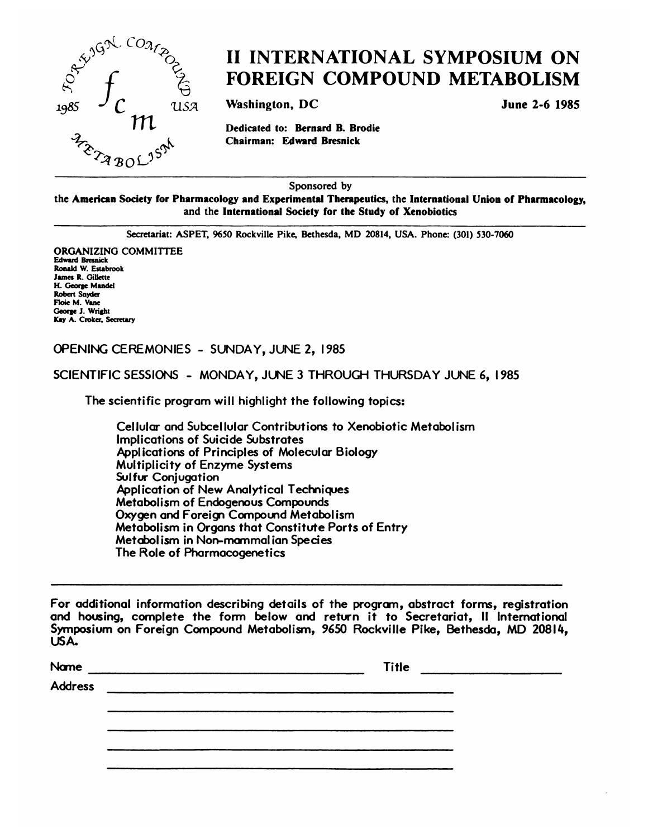

### **II INTERNATIONAL SYMPOSIUM ON FOREIGN COMPOUND METABOLISM**

**Washington, DC June 2-6** 1985

in **Dedicated to: Bernard B. Brodie**

Sponsored by

**the American Society for Pharmacology and Experimental** Therapeutics, **the International Union of Pharmacology, and the International Society for the Study of Xenobiotics**

Secretariat: **ASPET,** 9650 Rockville Pike, Bethesda, **MD 20814, USA. Phone: (301)** *530-7060*

**ORGANIZING COMMITTEE** Edward Bresnick **Ronald W. Estabrook** James R. Gillette **H. George** Mandel Robert Snyder Floic M. Vane George 3. Wright Kay A. Croker, Secretary

#### **OPENING CEREMONIES SUNDAY,** JUNE **2, 1985**

**SCIENTIFIC SESSIONS MONDAY, JUNE 3 THROUGH THURSDAY JUNE 6, 1985**

**The scientific program will highlight the following topics:**

**Cellular** and **Subcellular Contributions to Xenobiotic Metabolism Implications of Suicide Substrates** Applications **of Principles of Molecular Biology Multiplicity of Enzyme Systems** Sulfur Conjugation Application **of New Analytical Techniques Metabolism of Endogenous Compounds** Oxygen and Foreign Compound Metabolism **Metabolism in Organs that Constitute Ports of Entry Metabol ism in Non-mammal ian** Species **The Role of Pharmacogenetics**

**For additional information describing** details **of the program, abstract forms, registration** and **housing, complete the form below and return it to Secretariat, II** International Symposium **on Foreign** Compound Metabolism, 9650 Rockville **Pike,** Bethesda, **MD 208 lIe,** USA.

| Name                                                                  | <b>Title</b> |
|-----------------------------------------------------------------------|--------------|
| Address<br><u> 1980 - John Stein, Amerikaansk politiker (</u> † 1920) |              |
|                                                                       |              |
|                                                                       |              |
|                                                                       |              |
|                                                                       |              |
|                                                                       |              |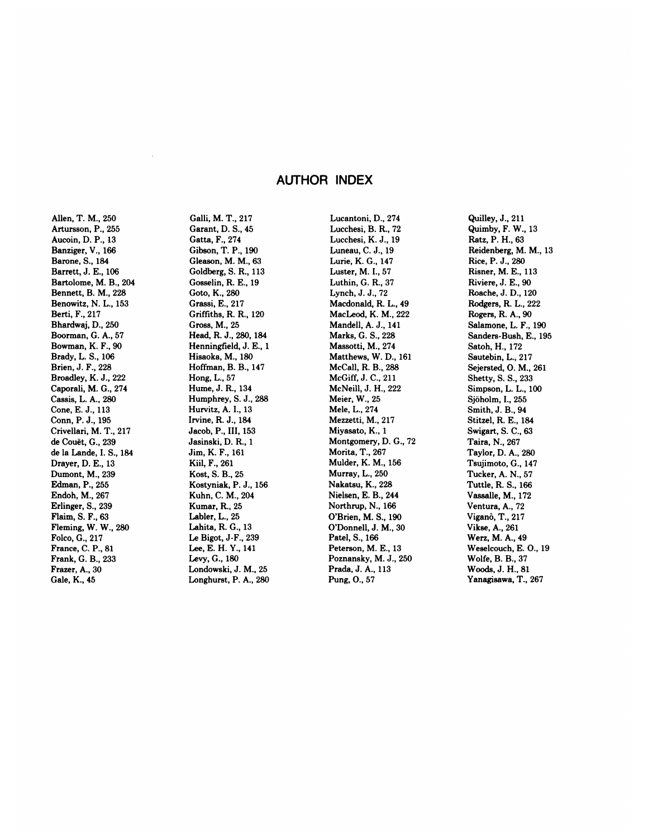#### **AUTHOR INDEX**

Allen, T. M., 250 Artursson, **P., 255** Aucoin, D. P., 13 Banziger, V., 166 Barone, S., 184 Barrett, J. E., 106 Bartolome, M. B., 204 Bennett, B. M., 228 Benowitz, N. L., 153 Berti, F., 217 Bhardwaj, D., 250 Boorman, G. A., 57 Bowman, K. F., 90 Brady, L. 5., 106 Brien, J. F., 228 Broadley, K. J.,222 Caporali, M. G., 274 Cassis, L. A., 280 Cone,E.J., 113 Conn, P. J., 195 Crivellari, M. T., 217 de Couët, G., 239 de la Lande, I.5., 184 Drayer, D. E., 13 Dumont, M., 239 Edman, P., 255 Endoh, M., 267 Erlinger, 5., 239 Flaim, S. F., 63 Fleming, W. W., 280 Folco, G., 217 France, C. P., 81 Frank, G. B., 233 Frazer, A., 30 Gale, K., 45

Galli, M. T., 217 Garant, D. S., 45 Gatta, F., 274 Gibson, T. **P.,** 190 Gleason, M. M., 63 Goldberg, S. R., 113 Gosselin, R. E., 19 Goto, K., 280 Grassi, E., 217 Griffiths, R. R., 120 Gross,M., 25 **Head, R. J.,** 280, 184 Henningfield, J. E., 1 Hisaoka, M., 180 Hoffman, B. B., 147 Hong, L., 57 Hume,J.R., 134 Humphrey, S. J.,288 Hurvitz, A. I., 13 Irvine, R. J., 184 Jacob, P., III, 153 Jasinski, D. R., 1 Jim, K. F., 161 Kiil, F., 261 Kost, S. B., 25 Kostyniak, P. J., 156 Kuhn, C. M., 204 Kumar, R., 25 Labler, L., 25 Lahita, R. G., 13 Le Bigot, J-F., 239 Lee, E. H. Y., 141 Levy, G., 180 Londowski, J. M., 25 Longhurst, P. A., 280

Lucantoni, D., 274 Lucchesi, B. R., 72 Lucchesi, K. J., 19 Luneau, C. J., 19 Lurie, K. G., 147 Luster, M. I., 57 Luthin, G. R., 37 Lynch, J. J., 72 Macdonald, R. L., 49 MacLeod, K. M., 222 Mandell, A. J., 141 Marks, G. S., 228 Massotti, M., 274 Matthews, W. D., 161 McCall, R. B., 288 McGiff, J. C., 211 McNeill, J. H., 222 Meier, W., 25 Mele, L., 274 Mezzetti, M., 217 Miyasato, K., 1 Montgomery, D. G., 72 Morita, T., 267 Mulder, K. M., 156 Murray, L., 250 Nakatsu, K., 228 Nielsen, E. B., 244 Northrup, N., 166 O'Brien, M. S., 190 O'Donnell, J. M., 30 Patel, 5., 166 Peterson, M. E., 13 Poznansky, M. J., 250 Prada,J.A., 113 Pung, 0., 57

Quilley,J., 211 Quimby, F. W., 13 Ratz, **P. H., 63** Reidenberg, M. M., 13 Rice, P. J., 280 Risner, M. E., 113 Riviere, J. E., 90 Roache, J. D., 120 Rodgers, R. L, 222 Rogers, R. A., 90 Salamone, L. F., 190 Sanders-Bush, E., 195 Satoh, H., 172 Sautebin, L., 217 Sejersted, **0. M., 261** Shetty, S. S., 233 Simpson, L. L., 100Sjöholm, I., 255 Smith, J. B., 94 Stitzel, R. E., 184 Swigart, S. C., 63 Taira, N., 267 Taylor, D. A., 280 Tsujimoto, G., 147 Tucker, A. N., 57 Tuttle, R. 5., 166 Vassalle, M., 172 Ventura, A., 72 Viganò, T., 217 Vikse,A., 261 Werz, M. A., 49 Weselcouch, E. 0., 19 Wolfe, B. B., 37 Woods, J. H., 81 Yanagisawa, T., 267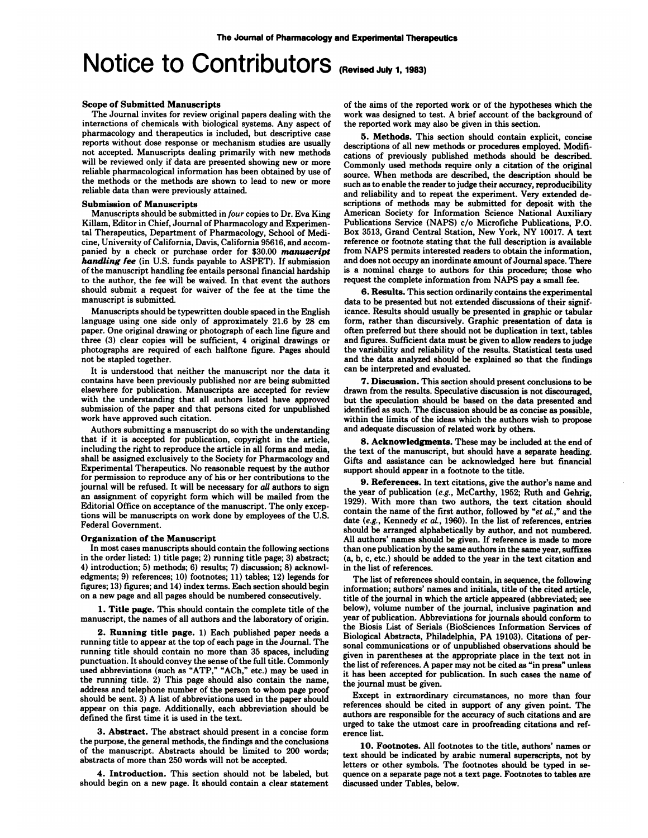## **Notice to Contributors** (Revised July 1,1983)

#### Scope **of Submitted Manuscripts**

The Journal invites for review original papers dealing with the interactions of chemicals with biological systems. Any aspect of pharmacology and therapeutics is included, but descriptive case reports without dose response or mechanism studies are usually not accepted. Manuscripts dealing primarily with new methods will be reviewed only if data are presented showing new or more reliable pharmacological information has been obtained by use of the methods or the methods are shown to lead to new or more reliable data than were previously attained.

#### Submission **of Manuscripts**

Manuscripts should be submitted in *four* copies to Dr. Eva King Killam, Editor in Chief, Journal of Pharmacology and Experimentel Therapeutics, Department of Pharmacology, School of Medicine, University of California, Davis, California 95616, and accompanied by a check or purchase order for \$30.00 *manuscript handling fee* (in U.S. funds payable to ASPET). If submission of the manuscript handling fee entails personal financial hardship **to the author, the fee will be waived. In that event the authors** should submit a request for waiver of the fee at the time the manuscript is submitted.

Manuscripts should be typewritten double spaced in the English language using one side only of approximately 21.6 by 28 cm paper. One original drawing or photograph of each line figure and three (3) clear copies will be sufficient, 4 original drawings or photographs are required of each halftone figure. Pages should not be stapled together.

It is understood that neither the manuscript nor the data it contains have been previously published nor are being submitted elsewhere for publication. Manuscripts are accepted for review with the understanding that all authors listed have approved submission of the paper and that persons cited for unpublished work have approved such citation.

Authors submitting a manuscript do so with the understanding that if it is accepted for publication, copyright in the article, including the right to reproduce the article in all forms and media, shall be assigned exclusively to the Society for Pharmacology and Experimental Therapeutics. No reasonable request by the author for permission to reproduce any of his or her contributions **to** the journal will be refused. It will be necessary for *all* authors to sign **an assignment of copyright form which will be mailed from the** Editorial Office on acceptance of the manuscript. The only exceptions will be manuscripts on work done by employees of the U.S. Federal Government.

#### **Organization of the Manuscript**

In most cases manuscripts should contain the following sections in the order listed: 1) title page; 2) running title page; 3) abstract; 4) introduction; 5) methods; 6) results; 7) discussion; 8) acknowledgments; 9) references; 10) footnotes; 11) tables; 12) legends for figures; 13) figures; and 14) index terms. Each section should begin on a new page and all pages should be numbered consecutively.

**1. Title** page. This should contain the complete title of the manuscript, the names of all authors and the laboratory of origin.

2. **Running title page. 1) Each published paper needs a** running title to appear at the top of each page in the Journal. The running title should contain no more than 35 spaces, including punctuation. It should convey the sense of the full title. Commonly used abbreviations (such as "ATP," "ACh," etc.) may be used in the running title. 2) This page should also contain the name, address and telephone number of the person to whom page proof should be sent. 3) A list of abbreviations used in the paper should appear on this page. Additionally, each abbreviation should be defined the first time it is used in the text.

3. Abstract. The abstract should present in a concise form the purpose, the general methods, the findings and the conclusions of the manuscript. Abstracts should be limited to 200 words; abstracts of more than 250 words will not be accepted.

4. **Introduction. This section should not be labeled, but should begin on a new page. It should contain a clear statement** of the aims of the reported work or of the hypotheses which the work was designed to test. A brief account of the background of the reported work may also be given in this section.

5. Methods. This section should contain explicit, concise descriptions of all new methods or procedures employed. Modifications of previously published methods should be described. Commonly used methods require only a citation of the original source. When methods are described, the description should be such as to enable the reader to judge their accuracy, reproducibility and reliability and to repeat the experiment. Very extended deseriptions of methods may be submitted for deposit with the American Society for Information Science National Auxiliary Publications Service (NAPS) c/o Microfiche Publications, P.O. **Box 3513, Grand Central Station, New York, NY** 10017. A text reference or footnote stating that the full description is available from NAPS permits interested readers to obtain the information, and does not occupy an inordinate amount of Journal space. There is a nominal charge to authors for this procedure; those who request the complete information from NAPS pay a small fee.

*6.* Results. This section ordinarily contains the experimental data to be presented but not extended discussions of their significance. Results should usually be presented in graphic or tabular form, rather than discursively. Graphic presentation of data is often preferred but there should not be duplication in text, tables and figures. Sufficient data must be given to allow readers to judge the variability and reliability of the results. Statistical tests used and the data analyzed should be explained so that the findings can be interpreted and evaluated.

**7.** Discussion. This section should present conclusions to be drawn from the results. Speculative discussion is not discouraged, but the speculation should be based on the data presented and identified as such. The discussion should be as concise as possible, within the limits of the ideas which the authors wish to propose and adequate discussion of related work by others.

**8. Acknowledgments. These may be included at the end of** the text of the manuscript, but should have a separate heading. Gifts and assistance can be acknowledged here but financial support should appear in a footnote to the title.

*9.* **References. In text citations, give the author's name and** the year of publication *(e.g.,* McCarthy, 1952; Ruth and Gehrig, 1929). With more than two authors, the text citation should contain the name of the first author, followed by *"etaL,"* **and the** date *(e.g.,* Kennedy *et al.,* 1960). In the list of references, entries should be arranged alphabetically by author, and not numbered. All authors' names should be given. If reference is made to more than one publication by the same authors in the same year, suffixes **(a, b, c, etc.) should be added** to the year in the text citation and in the list of references.

The list of references should contain, in sequence, the following information; authors' names and initials, title of the cited article, title of the journal in which the article appeared (abbreviated; see below), volume number of the journal, inclusive pagination and year of publication. Abbreviations for journals should conform to the Biosis List of Serials (BioSciences Information Services of Biological Abstracts, Philadelphia, PA 19103). Citations of personal communications or of unpublished observations should be given in parentheses at the appropriate place in the text not in the list of references. A paper may not be cited as "in press" unless **it has** been accepted for publication. In such cases the name of the journal must be given.

Except in extraordinary circumstances, no more than four references should be cited in support of any given point. The authors are responsible for the accuracy of such citations and are urged to take the utmost care in proofreading citations and ref erence list.

10. Footnotes. All footnotes to the title, authors' names or **text should be indicated by arabic numeral superscripts, not by** letters **or other symbols. The footnotes should be** typed in se quence on a separate page not a text page. Footnotes to tables are discussed under Tables, below.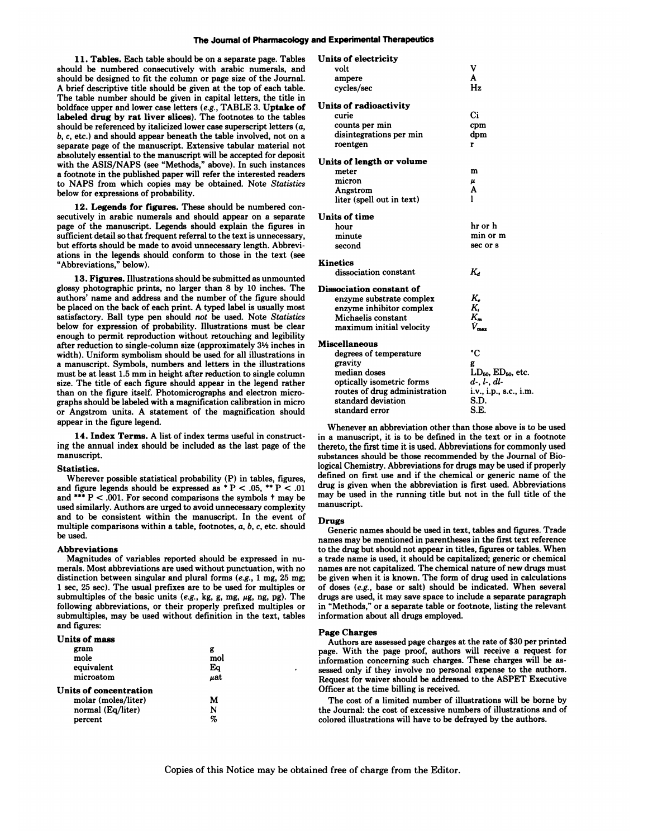#### **The Journal of Pharmacology and Experimental Therapeutics**

 $\sim$   $\sim$ 

**1 1. Tables.** Each table should be on a separate page. Tables should be numbered consecutively with arabic numerals, and should be designed to fit the column or page size of the Journal. **A brief descriptive title should be given at the** top of each table. The table number should be given in capital letters, the title in boldface upper and lower case letters *(e.g.,* TABLE 3. Uptake of labeled drug **by rat liver slices). The footnotes to the tables** should be referenced by italicized lower case superscript letters (a, *b, c,* etc.) and should appear beneath the table involved, not on a separate page of the manuscript. Extensive tabular material not absolutely essential to the manuscript will be accepted for deposit with the ASIS/NAPS (see "Methods," above). In such instances **a footnote in the published paper will refer the interested readers to NAPS from which copies may be obtained. Note** *Statistics* below for expressions of probability.

12. Legends for figures. These should be numbered con secutively in arabic numerals and should appear on a separate page of the manuscript. Legends should explain the figures in sufficient detail so that frequent referral to the text is unnecessary, but efforts should be made to avoid unnecessary length. Abbreviations in the legends should conform to those in the text (see "Abbreviations," below).

13. Figures. Illustrations should be submitted as unmounted glossy photographic prints, no larger than 8 by 10 inches. The authors' name and address and the number of the figure should be placed on the back of each print. A typed label is usually most satisfactory. Ball type pen should *not* **be used. Note** *Statistics* below for expression of probability. Illustrations must be clear enough to permit reproduction without retouching and legibility after reduction to single-column size (approximately  $3\frac{1}{2}$  inches in width). Uniform symbolism should be used for all illustrations in a manuscript. Symbols, numbers and letters in the illustrations must be at least 1.5 mm in height after reduction to single column size. The title of each figure should appear in the legend rather than on the figure itself. Photomicrographs and electron micrographs should be labeled with a magnification calibration in micro or Angstrom units. A statement of the magnification should appear in the figure legend.

**14. Index Terms. A list of index terms** useful in constructing the annual index should be included as the last page of the manuscript.

#### Statistics.

Wherever possible statistical probability (P) in tables, figures, and figure legends should be expressed as  $* P < .05$ ,  $* P < .01$ and \*\*\*  $P < .001$ . For second comparisons the symbols  $\dagger$  may be used similarly. Authors are urged to avoid unnecessary complexity and to be consistent within the manuscript. In the event of multiple comparisons within a table, footnotes, a, *b, c,* etc. should be used.

#### **Abbreviations**

Magnitudes of variables reported should be expressed in nu merals. Most abbreviations are used without punctuation, with no distinction between singular and plural forms *(e.g.,* 1 mg, 25 mg, 1 sec, 25 see). The usual prefixes are to be used for multiples or submultiples of the basic units  $(e.g., kg, g, mg, \mu g, ng, pg)$ . The following abbreviations, or their properly prefixed multiples or submultiples, may be used without definition in the text, tables and figures:

#### **Units of** mass

| gram                   | g   |  |
|------------------------|-----|--|
| mole                   | mol |  |
| equivalent             | Eq  |  |
| microatom              | uat |  |
| Units of concentration |     |  |
| molar (moles/liter)    | м   |  |
| normal (Eq/liter)      | N   |  |
| percent                | %   |  |

| Units of electricity          |                              |
|-------------------------------|------------------------------|
| volt                          | v                            |
| ampere                        | A                            |
| cycles/sec                    | H <sub>z</sub>               |
| Units of radioactivity        |                              |
| curie                         | Ci                           |
| counts per min                | cpm                          |
| disintegrations per min       | dpm                          |
| roentgen                      | r                            |
| Units of length or volume     |                              |
| meter                         | m                            |
| micron                        | $\mu$                        |
| Angstrom                      | A                            |
| liter (spell out in text)     | ı                            |
| Units of time                 |                              |
| hour                          | hr or h                      |
| minute                        | min or m                     |
| second                        | sec or s                     |
| <b>Kinetics</b>               |                              |
| dissociation constant         | κ.                           |
| Dissociation constant of      |                              |
| enzyme substrate complex      | ĸ.                           |
| enzyme inhibitor complex      | K.                           |
| Michaelis constant            | $K_{m}$                      |
| maximum initial velocity      | v                            |
| <b>Miscellaneous</b>          |                              |
| degrees of temperature        | ۰c                           |
| gravity                       | g                            |
| median doses                  | $LD_{50}$ , $ED_{50}$ , etc. |
| optically isometric forms     | $d$ -, $l$ -, $dl$ -         |
| routes of drug administration | i.v., i.p., s.c., i.m.       |
| standard deviation            | S.D.                         |

Whenever an abbreviation other than those above is to be used in a manuscript, it is to be defined in the text or in a footnote thereto, the first time it is used. Abbreviations for commonly used substances should be those recommended by the Journal of Biological Chemistry. Abbreviations for drugs may be used if properly defined on first use and if the chemical or generic name of the drug is given when the abbreviation is first used. Abbreviations may be used in the running title but not in the full title of the manuscript.

S.E.

#### Drugs

standard error

Generic names should be used in text, tables and figures. Trade names may be mentioned in parentheses in the first text reference to the drug but should not appear in titles, figures or tables. When a trade name is used, it should be capitalized; generic or chemical names are not capitalized. The chemical nature of new drugs must be given when it is known. The form of drug used in calculations of doses *(e.g.,* base or salt) should be indicated. When several drugs are used, it may save space to include a separate paragraph in "Methods," or a separate table or footnote, listing the relevant information about all drugs employed.

#### Page Charges

Authors are assessed page charges at the rate of \$30 per printed page. With the page proof, authors will receive a request for information concerning such charges. These charges will be as sessed only if they involve no personal expense to the authors. Request for waiver should be addressed to the ASPET Executive Officer at the time billing is received.

The cost of a limited number of illustrations will be borne by the Journal: the cost of excessive numbers of illustrations and of colored illustrations will have to be defrayed by the authors.

Copies of this Notice may be obtained free of charge from the Editor.